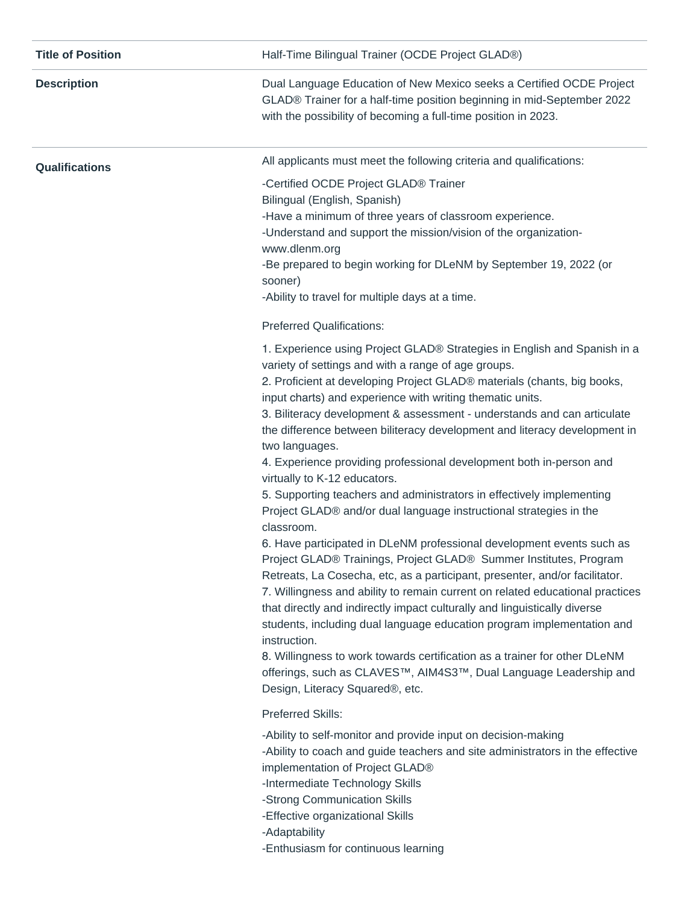| <b>Title of Position</b> | Half-Time Bilingual Trainer (OCDE Project GLAD®)                                                                                                                                                                                                                                                                                                                                                                                                                                                                                                                                                                                                                                                                                                                                                                                                                                                                                                                                                                                                                                                                                                                                                                                                                                                                                                                                                |
|--------------------------|-------------------------------------------------------------------------------------------------------------------------------------------------------------------------------------------------------------------------------------------------------------------------------------------------------------------------------------------------------------------------------------------------------------------------------------------------------------------------------------------------------------------------------------------------------------------------------------------------------------------------------------------------------------------------------------------------------------------------------------------------------------------------------------------------------------------------------------------------------------------------------------------------------------------------------------------------------------------------------------------------------------------------------------------------------------------------------------------------------------------------------------------------------------------------------------------------------------------------------------------------------------------------------------------------------------------------------------------------------------------------------------------------|
| <b>Description</b>       | Dual Language Education of New Mexico seeks a Certified OCDE Project<br>GLAD® Trainer for a half-time position beginning in mid-September 2022<br>with the possibility of becoming a full-time position in 2023.                                                                                                                                                                                                                                                                                                                                                                                                                                                                                                                                                                                                                                                                                                                                                                                                                                                                                                                                                                                                                                                                                                                                                                                |
| Qualifications           | All applicants must meet the following criteria and qualifications:                                                                                                                                                                                                                                                                                                                                                                                                                                                                                                                                                                                                                                                                                                                                                                                                                                                                                                                                                                                                                                                                                                                                                                                                                                                                                                                             |
|                          | -Certified OCDE Project GLAD® Trainer<br>Bilingual (English, Spanish)<br>-Have a minimum of three years of classroom experience.<br>-Understand and support the mission/vision of the organization-<br>www.dlenm.org<br>-Be prepared to begin working for DLeNM by September 19, 2022 (or<br>sooner)<br>-Ability to travel for multiple days at a time.                                                                                                                                                                                                                                                                                                                                                                                                                                                                                                                                                                                                                                                                                                                                                                                                                                                                                                                                                                                                                                         |
|                          | <b>Preferred Qualifications:</b>                                                                                                                                                                                                                                                                                                                                                                                                                                                                                                                                                                                                                                                                                                                                                                                                                                                                                                                                                                                                                                                                                                                                                                                                                                                                                                                                                                |
|                          | 1. Experience using Project GLAD® Strategies in English and Spanish in a<br>variety of settings and with a range of age groups.<br>2. Proficient at developing Project GLAD® materials (chants, big books,<br>input charts) and experience with writing thematic units.<br>3. Biliteracy development & assessment - understands and can articulate<br>the difference between biliteracy development and literacy development in<br>two languages.<br>4. Experience providing professional development both in-person and<br>virtually to K-12 educators.<br>5. Supporting teachers and administrators in effectively implementing<br>Project GLAD® and/or dual language instructional strategies in the<br>classroom.<br>6. Have participated in DLeNM professional development events such as<br>Project GLAD® Trainings, Project GLAD® Summer Institutes, Program<br>Retreats, La Cosecha, etc, as a participant, presenter, and/or facilitator.<br>7. Willingness and ability to remain current on related educational practices<br>that directly and indirectly impact culturally and linguistically diverse<br>students, including dual language education program implementation and<br>instruction.<br>8. Willingness to work towards certification as a trainer for other DLeNM<br>offerings, such as CLAVES™, AIM4S3™, Dual Language Leadership and<br>Design, Literacy Squared®, etc. |
|                          | Preferred Skills:<br>-Ability to self-monitor and provide input on decision-making<br>-Ability to coach and guide teachers and site administrators in the effective<br>implementation of Project GLAD®<br>-Intermediate Technology Skills<br>-Strong Communication Skills<br>-Effective organizational Skills<br>-Adaptability<br>-Enthusiasm for continuous learning                                                                                                                                                                                                                                                                                                                                                                                                                                                                                                                                                                                                                                                                                                                                                                                                                                                                                                                                                                                                                           |